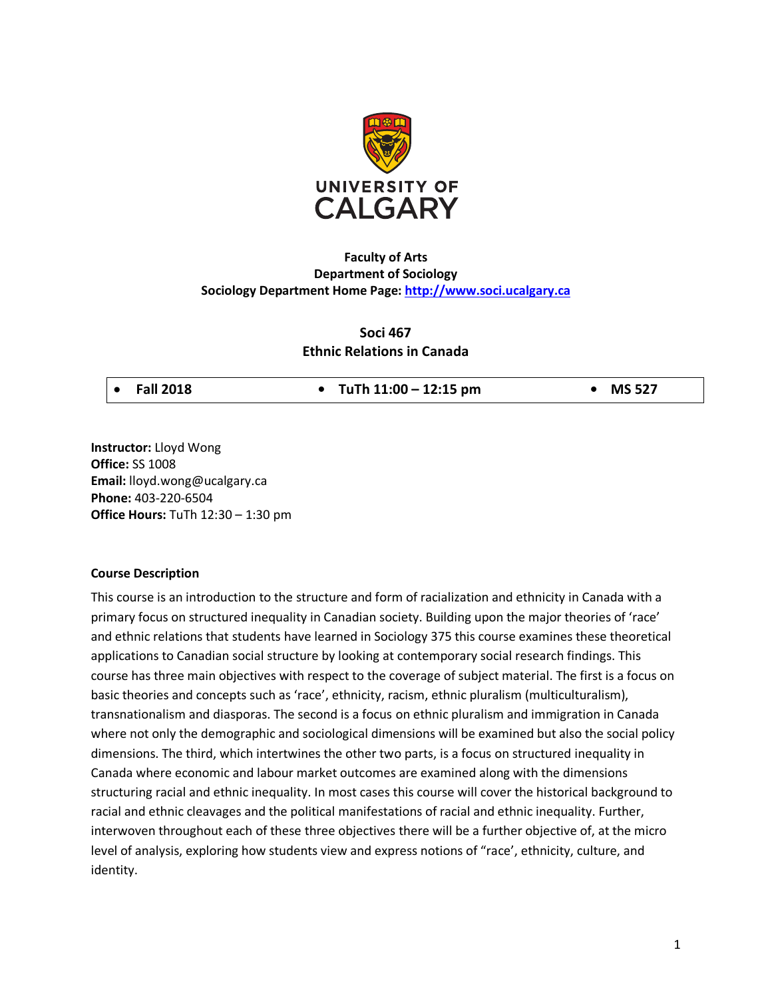

# **Faculty of Arts Department of Sociology Sociology Department Home Page: http://www.soci.ucalgary.ca**

# **Soci 467 Ethnic Relations in Canada**

• **Fall 2018 • TuTh 11:00 – 12:15 pm • MS 527**

**Instructor:** Lloyd Wong **Office:** SS 1008 **Email:** lloyd.wong@ucalgary.ca **Phone:** 403-220-6504 **Office Hours:** TuTh 12:30 – 1:30 pm

### **Course Description**

This course is an introduction to the structure and form of racialization and ethnicity in Canada with a primary focus on structured inequality in Canadian society. Building upon the major theories of 'race' and ethnic relations that students have learned in Sociology 375 this course examines these theoretical applications to Canadian social structure by looking at contemporary social research findings. This course has three main objectives with respect to the coverage of subject material. The first is a focus on basic theories and concepts such as 'race', ethnicity, racism, ethnic pluralism (multiculturalism), transnationalism and diasporas. The second is a focus on ethnic pluralism and immigration in Canada where not only the demographic and sociological dimensions will be examined but also the social policy dimensions. The third, which intertwines the other two parts, is a focus on structured inequality in Canada where economic and labour market outcomes are examined along with the dimensions structuring racial and ethnic inequality. In most cases this course will cover the historical background to racial and ethnic cleavages and the political manifestations of racial and ethnic inequality. Further, interwoven throughout each of these three objectives there will be a further objective of, at the micro level of analysis, exploring how students view and express notions of "race', ethnicity, culture, and identity.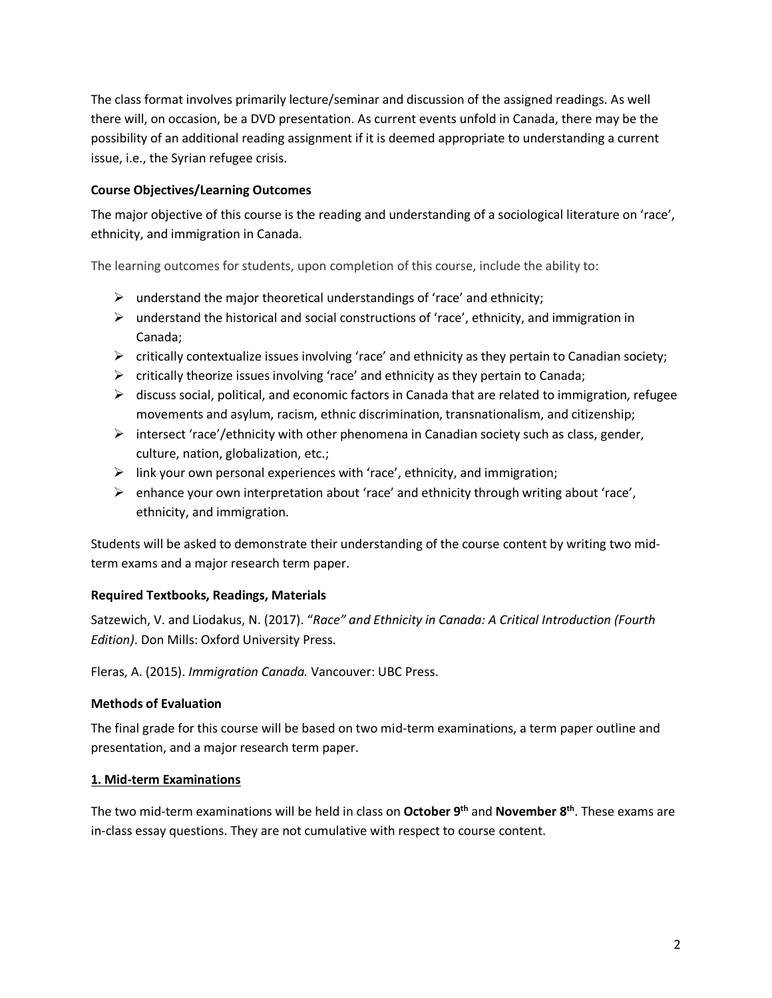The class format involves primarily lecture/seminar and discussion of the assigned readings. As well there will, on occasion, be a DVD presentation. As current events unfold in Canada, there may be the possibility of an additional reading assignment if it is deemed appropriate to understanding a current issue, i.e., the Syrian refugee crisis.

# **Course Objectives/Learning Outcomes**

The major objective of this course is the reading and understanding of a sociological literature on 'race', ethnicity, and immigration in Canada.

The learning outcomes for students, upon completion of this course, include the ability to:

- $\triangleright$  understand the major theoretical understandings of 'race' and ethnicity;
- $\triangleright$  understand the historical and social constructions of 'race', ethnicity, and immigration in Canada;
- $\triangleright$  critically contextualize issues involving 'race' and ethnicity as they pertain to Canadian society;
- $\triangleright$  critically theorize issues involving 'race' and ethnicity as they pertain to Canada;
- $\triangleright$  discuss social, political, and economic factors in Canada that are related to immigration, refugee movements and asylum, racism, ethnic discrimination, transnationalism, and citizenship;
- $\triangleright$  intersect 'race'/ethnicity with other phenomena in Canadian society such as class, gender, culture, nation, globalization, etc.;
- $\triangleright$  link your own personal experiences with 'race', ethnicity, and immigration;
- $\triangleright$  enhance your own interpretation about 'race' and ethnicity through writing about 'race', ethnicity, and immigration.

Students will be asked to demonstrate their understanding of the course content by writing two midterm exams and a major research term paper.

# **Required Textbooks, Readings, Materials**

Satzewich, V. and Liodakus, N. (2017). "*Race" and Ethnicity in Canada: A Critical Introduction (Fourth Edition)*. Don Mills: Oxford University Press.

Fleras, A. (2015). *Immigration Canada.* Vancouver: UBC Press.

# **Methods of Evaluation**

The final grade for this course will be based on two mid-term examinations, a term paper outline and presentation, and a major research term paper.

## **1. Mid-term Examinations**

The two mid-term examinations will be held in class on **October 9th** and **November 8th**. These exams are in-class essay questions. They are not cumulative with respect to course content.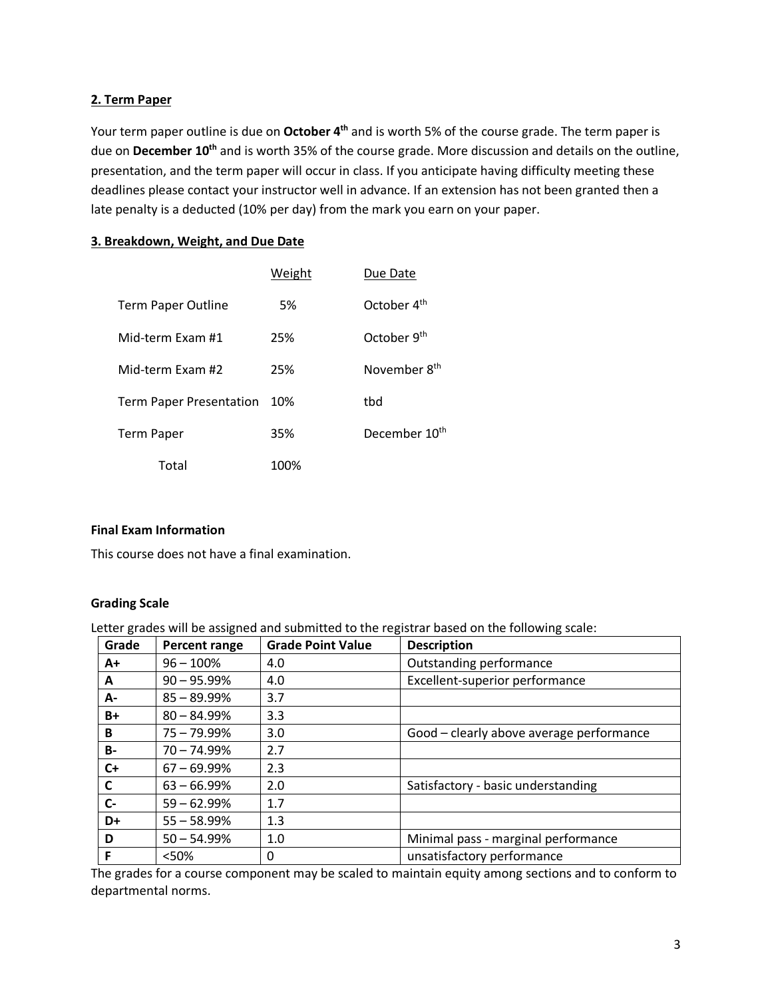# **2. Term Paper**

Your term paper outline is due on October 4<sup>th</sup> and is worth 5% of the course grade. The term paper is due on **December 10<sup>th</sup>** and is worth 35% of the course grade. More discussion and details on the outline, presentation, and the term paper will occur in class. If you anticipate having difficulty meeting these deadlines please contact your instructor well in advance. If an extension has not been granted then a late penalty is a deducted (10% per day) from the mark you earn on your paper.

## **3. Breakdown, Weight, and Due Date**

|                                | Weight | Due Date                  |
|--------------------------------|--------|---------------------------|
| Term Paper Outline             | 5%     | October 4 <sup>th</sup>   |
| Mid-term Exam #1               | 25%    | October 9 <sup>th</sup>   |
| Mid-term Exam #2               | 25%    | November 8 <sup>th</sup>  |
| <b>Term Paper Presentation</b> | 10%    | tbd                       |
| Term Paper                     | 35%    | December 10 <sup>th</sup> |
| Total                          | 100%   |                           |

## **Final Exam Information**

This course does not have a final examination.

## **Grading Scale**

Letter grades will be assigned and submitted to the registrar based on the following scale:

| Grade     | <b>Percent range</b> | <b>Grade Point Value</b> | <b>Description</b>                       |
|-----------|----------------------|--------------------------|------------------------------------------|
| $A+$      | $96 - 100%$          | 4.0                      | Outstanding performance                  |
| A         | $90 - 95.99\%$       | 4.0                      | Excellent-superior performance           |
| А-        | $85 - 89.99\%$       | 3.7                      |                                          |
| B+        | $80 - 84.99\%$       | 3.3                      |                                          |
| B         | $75 - 79.99\%$       | 3.0                      | Good - clearly above average performance |
| <b>B-</b> | $70 - 74.99\%$       | 2.7                      |                                          |
| $C+$      | $67 - 69.99\%$       | 2.3                      |                                          |
| C         | $63 - 66.99%$        | 2.0                      | Satisfactory - basic understanding       |
| $C-$      | $59 - 62.99\%$       | 1.7                      |                                          |
| D+        | $55 - 58.99%$        | 1.3                      |                                          |
| D         | $50 - 54.99%$        | 1.0                      | Minimal pass - marginal performance      |
| F         | <50%                 | 0                        | unsatisfactory performance               |

The grades for a course component may be scaled to maintain equity among sections and to conform to departmental norms.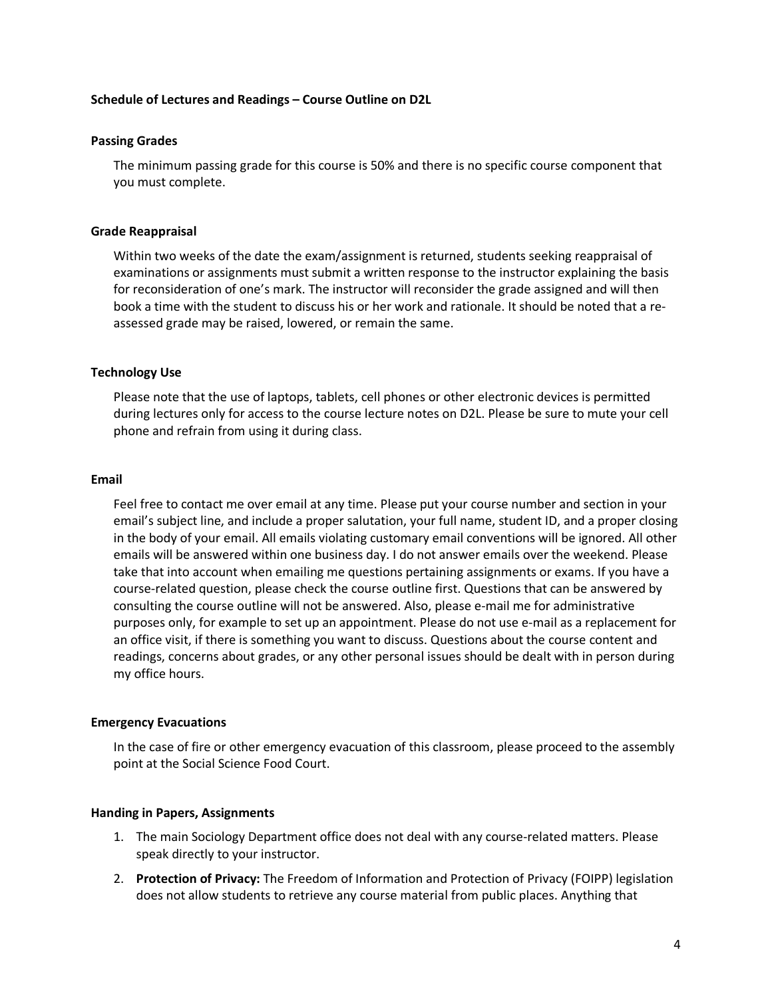### **Schedule of Lectures and Readings – Course Outline on D2L**

#### **Passing Grades**

The minimum passing grade for this course is 50% and there is no specific course component that you must complete.

#### **Grade Reappraisal**

Within two weeks of the date the exam/assignment is returned, students seeking reappraisal of examinations or assignments must submit a written response to the instructor explaining the basis for reconsideration of one's mark. The instructor will reconsider the grade assigned and will then book a time with the student to discuss his or her work and rationale. It should be noted that a reassessed grade may be raised, lowered, or remain the same.

#### **Technology Use**

Please note that the use of laptops, tablets, cell phones or other electronic devices is permitted during lectures only for access to the course lecture notes on D2L. Please be sure to mute your cell phone and refrain from using it during class.

#### **Email**

Feel free to contact me over email at any time. Please put your course number and section in your email's subject line, and include a proper salutation, your full name, student ID, and a proper closing in the body of your email. All emails violating customary email conventions will be ignored. All other emails will be answered within one business day. I do not answer emails over the weekend. Please take that into account when emailing me questions pertaining assignments or exams. If you have a course-related question, please check the course outline first. Questions that can be answered by consulting the course outline will not be answered. Also, please e-mail me for administrative purposes only, for example to set up an appointment. Please do not use e-mail as a replacement for an office visit, if there is something you want to discuss. Questions about the course content and readings, concerns about grades, or any other personal issues should be dealt with in person during my office hours.

#### **Emergency Evacuations**

In the case of fire or other emergency evacuation of this classroom, please proceed to the assembly point at the Social Science Food Court.

#### **Handing in Papers, Assignments**

- 1. The main Sociology Department office does not deal with any course-related matters. Please speak directly to your instructor.
- 2. **Protection of Privacy:** The Freedom of Information and Protection of Privacy (FOIPP) legislation does not allow students to retrieve any course material from public places. Anything that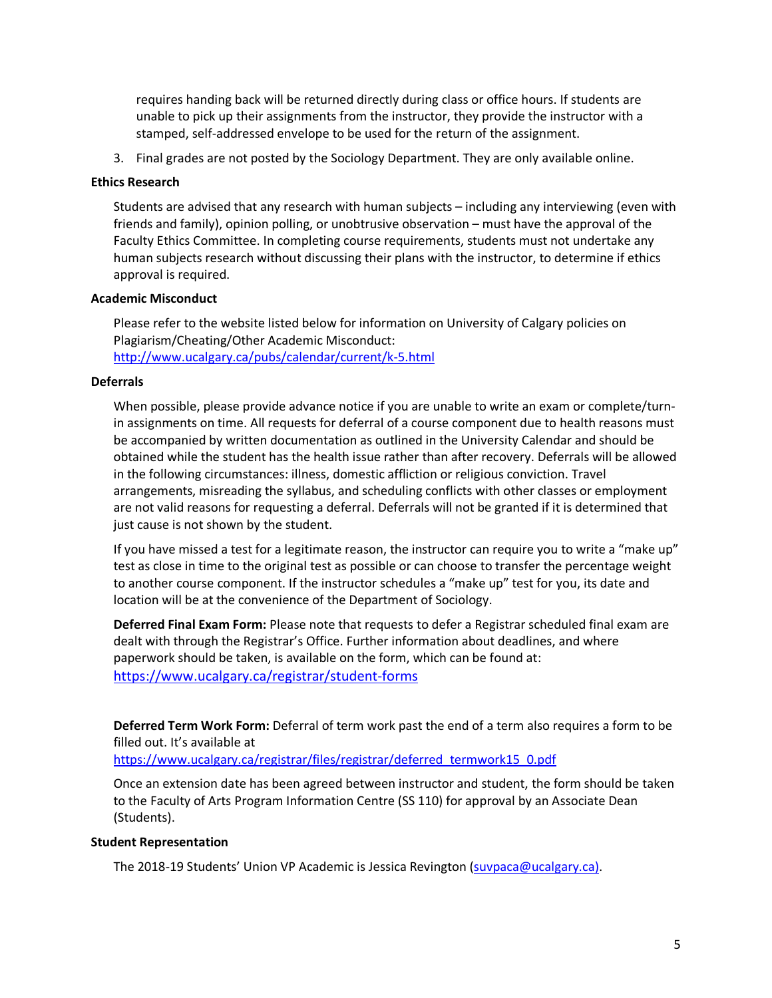requires handing back will be returned directly during class or office hours. If students are unable to pick up their assignments from the instructor, they provide the instructor with a stamped, self-addressed envelope to be used for the return of the assignment.

3. Final grades are not posted by the Sociology Department. They are only available online.

### **Ethics Research**

Students are advised that any research with human subjects – including any interviewing (even with friends and family), opinion polling, or unobtrusive observation – must have the approval of the Faculty Ethics Committee. In completing course requirements, students must not undertake any human subjects research without discussing their plans with the instructor, to determine if ethics approval is required.

### **Academic Misconduct**

Please refer to the website listed below for information on University of Calgary policies on Plagiarism/Cheating/Other Academic Misconduct: http://www.ucalgary.ca/pubs/calendar/current/k-5.html

### **Deferrals**

When possible, please provide advance notice if you are unable to write an exam or complete/turnin assignments on time. All requests for deferral of a course component due to health reasons must be accompanied by written documentation as outlined in the University Calendar and should be obtained while the student has the health issue rather than after recovery. Deferrals will be allowed in the following circumstances: illness, domestic affliction or religious conviction. Travel arrangements, misreading the syllabus, and scheduling conflicts with other classes or employment are not valid reasons for requesting a deferral. Deferrals will not be granted if it is determined that just cause is not shown by the student.

If you have missed a test for a legitimate reason, the instructor can require you to write a "make up" test as close in time to the original test as possible or can choose to transfer the percentage weight to another course component. If the instructor schedules a "make up" test for you, its date and location will be at the convenience of the Department of Sociology.

**Deferred Final Exam Form:** Please note that requests to defer a Registrar scheduled final exam are dealt with through the Registrar's Office. Further information about deadlines, and where paperwork should be taken, is available on the form, which can be found at: https://www.ucalgary.ca/registrar/student-forms

**Deferred Term Work Form:** Deferral of term work past the end of a term also requires a form to be filled out. It's available at

https://www.ucalgary.ca/registrar/files/registrar/deferred\_termwork15\_0.pdf

Once an extension date has been agreed between instructor and student, the form should be taken to the Faculty of Arts Program Information Centre (SS 110) for approval by an Associate Dean (Students).

## **Student Representation**

The 2018-19 Students' Union VP Academic is Jessica Revington (suvpaca@ucalgary.ca).